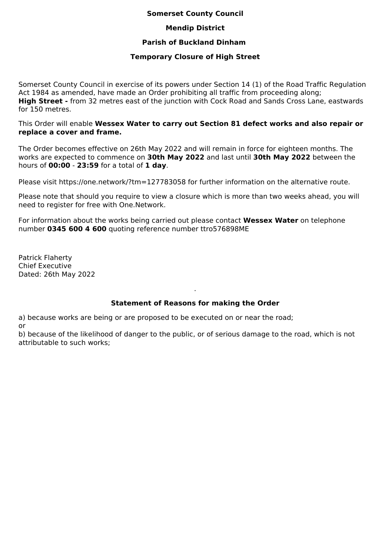#### **Somerset County Council**

## **Mendip District**

## **Parish of Buckland Dinham**

#### **Temporary Closure of High Street**

Somerset County Council in exercise of its powers under Section 14 (1) of the Road Traffic Regulation Act 1984 as amended, have made an Order prohibiting all traffic from proceeding along; **High Street -** from 32 metres east of the junction with Cock Road and Sands Cross Lane, eastwards for 150 metres.

This Order will enable **Wessex Water to carry out Section 81 defect works and also repair or replace a cover and frame.**

The Order becomes effective on 26th May 2022 and will remain in force for eighteen months. The works are expected to commence on **30th May 2022** and last until **30th May 2022** between the hours of **00:00** - **23:59** for a total of **1 day**.

Please visit https://one.network/?tm=127783058 for further information on the alternative route.

Please note that should you require to view a closure which is more than two weeks ahead, you will need to register for free with One.Network.

For information about the works being carried out please contact **Wessex Water** on telephone number **0345 600 4 600** quoting reference number ttro576898ME

Patrick Flaherty Chief Executive Dated: 26th May 2022

# **Statement of Reasons for making the Order**

.

a) because works are being or are proposed to be executed on or near the road;

or

b) because of the likelihood of danger to the public, or of serious damage to the road, which is not attributable to such works;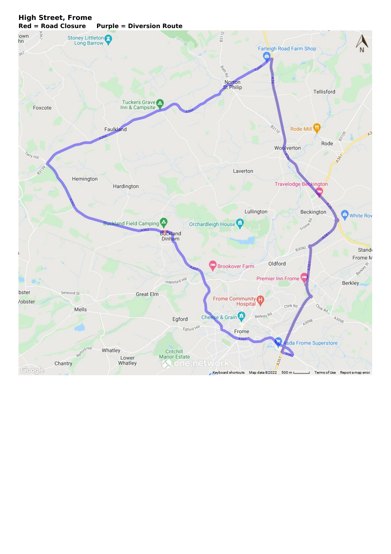#### $\mathcal{O}_\ell$ lown<br>hn 98 Stoney Littleton B37 **Farleigh Road Farm Shop** 367 е g Norton<br>St Philip Tellisford Tuckers Grave Inn & Campsite Foxcote  $\frac{1}{2}$ Faulkland Rode Mill b<sup>2</sup> ŝ, Rode Woolverton **A367** TY Hill Laverton  $\mathbf{e}^{\mathbf{c}}$ Hemington **Travelodge Beckington** Hardington Lullington Beckington White Rov Frome **Buckland Field Camping** Orchardleigh House Buckland<br>Dinham 83090 **Stand** Frome N Oldford **Brookover Farm** Hapsford HW Premier Inn Frome **Berkley** bster Selwood St Great Elm Frome Community /obster Civik Rd Omk Rd Mells Berkley Ro Cheese & Grain  $A_{3098}$ A3098 Egford Egford Hill Frome da Frome Superstore Reforablill Whatley Critchill<br>Manor Estate Lower  $436$ Whatley **Kone.networl** Chantry Google Keyboard shortcuts Map data @2022 500 m L Terms of Use Report a map L.

#### **High Street, Frome Red = Road Closure Purple = Diversion Route**